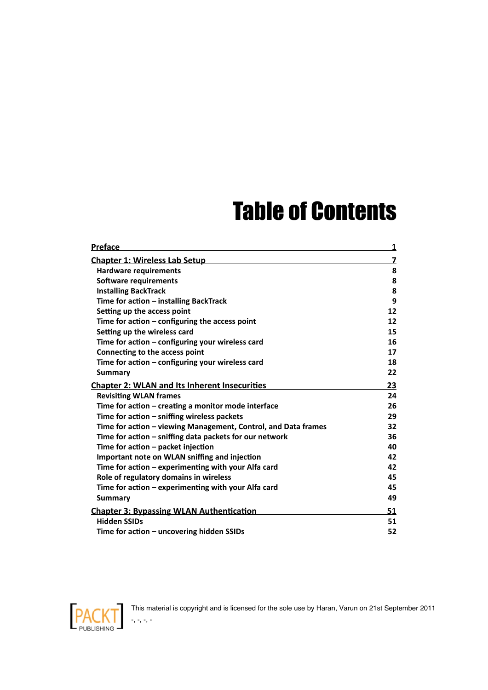## **Table of Contents**

| <b>Preface</b>                                                 | <u>1</u> |
|----------------------------------------------------------------|----------|
| <b>Chapter 1: Wireless Lab Setup</b>                           | 7        |
| <b>Hardware requirements</b>                                   | 8        |
| <b>Software requirements</b>                                   | 8        |
| <b>Installing BackTrack</b>                                    | 8        |
| Time for action - installing BackTrack                         | 9        |
| Setting up the access point                                    | 12       |
| Time for action $-$ configuring the access point               | 12       |
| Setting up the wireless card                                   | 15       |
| Time for action - configuring your wireless card               | 16       |
| Connecting to the access point                                 | 17       |
| Time for action - configuring your wireless card               | 18       |
| Summary                                                        | 22       |
| <b>Chapter 2: WLAN and Its Inherent Insecurities</b>           | 23       |
| <b>Revisiting WLAN frames</b>                                  | 24       |
| Time for action - creating a monitor mode interface            | 26       |
| Time for action - sniffing wireless packets                    | 29       |
| Time for action – viewing Management, Control, and Data frames | 32       |
| Time for action - sniffing data packets for our network        | 36       |
| Time for action - packet injection                             | 40       |
| Important note on WLAN sniffing and injection                  | 42       |
| Time for action – experimenting with your Alfa card            | 42       |
| Role of regulatory domains in wireless                         | 45       |
| Time for action - experimenting with your Alfa card            | 45       |
| <b>Summary</b>                                                 | 49       |
| <b>Chapter 3: Bypassing WLAN Authentication</b>                | 51       |
| <b>Hidden SSIDs</b>                                            | 51       |
| Time for action – uncovering hidden SSIDs                      | 52       |



-, -, -, -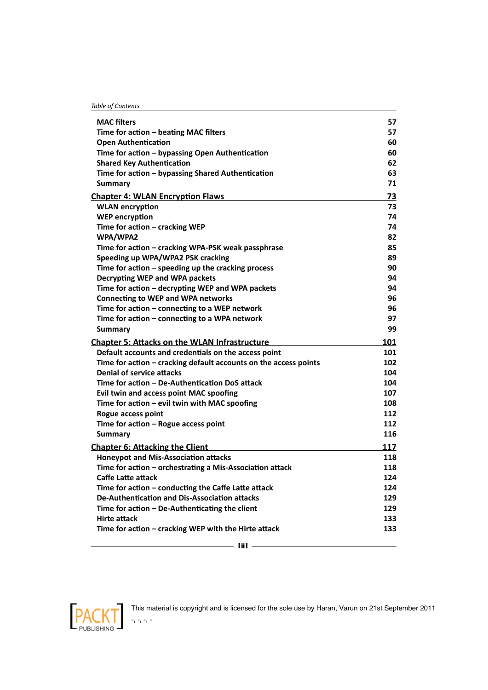| <b>Table of Contents</b> |
|--------------------------|
|--------------------------|

| <b>MAC</b> filters                                               | 57  |
|------------------------------------------------------------------|-----|
| Time for action - beating MAC filters                            | 57  |
| <b>Open Authentication</b>                                       | 60  |
| Time for action - bypassing Open Authentication                  | 60  |
| <b>Shared Key Authentication</b>                                 | 62  |
| Time for action - bypassing Shared Authentication                | 63  |
| Summary                                                          | 71  |
| <b>Chapter 4: WLAN Encryption Flaws</b>                          | 73  |
| <b>WLAN</b> encryption                                           | 73  |
| <b>WEP encryption</b>                                            | 74  |
| Time for action - cracking WEP                                   | 74  |
| WPA/WPA2                                                         | 82  |
| Time for action - cracking WPA-PSK weak passphrase               | 85  |
| Speeding up WPA/WPA2 PSK cracking                                | 89  |
| Time for action $-$ speeding up the cracking process             | 90  |
| <b>Decrypting WEP and WPA packets</b>                            | 94  |
| Time for action - decrypting WEP and WPA packets                 | 94  |
| <b>Connecting to WEP and WPA networks</b>                        | 96  |
| Time for action – connecting to a WEP network                    | 96  |
| Time for action - connecting to a WPA network                    | 97  |
| <b>Summary</b>                                                   | 99  |
| <b>Chapter 5: Attacks on the WLAN Infrastructure</b>             | 101 |
| Default accounts and credentials on the access point             | 101 |
| Time for action - cracking default accounts on the access points | 102 |
| <b>Denial of service attacks</b>                                 | 104 |
| Time for action - De-Authentication DoS attack                   | 104 |
| Evil twin and access point MAC spoofing                          | 107 |
| Time for action - evil twin with MAC spoofing                    | 108 |
| Rogue access point                                               | 112 |
| Time for action - Rogue access point                             | 112 |
| Summary                                                          | 116 |
| <b>Chapter 6: Attacking the Client</b>                           | 117 |
| <b>Honeypot and Mis-Association attacks</b>                      | 118 |
| Time for action - orchestrating a Mis-Association attack         | 118 |
| Caffe Latte attack                                               | 124 |
| Time for action - conducting the Caffe Latte attack              | 124 |
| De-Authentication and Dis-Association attacks                    | 129 |
| Time for action - De-Authenticating the client                   | 129 |
| <b>Hirte attack</b>                                              | 133 |
| Time for action - cracking WEP with the Hirte attack             | 133 |
| - [ji]                                                           |     |

 $\overline{\phantom{a}}$  [ ii ]  $\overline{\phantom{a}}$ 

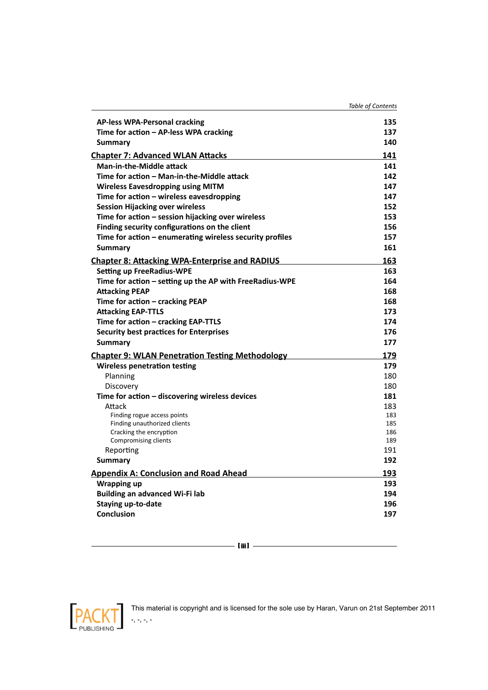|                                                          | <b>Table of Contents</b> |
|----------------------------------------------------------|--------------------------|
| <b>AP-less WPA-Personal cracking</b>                     | 135                      |
| Time for action – AP-less WPA cracking                   | 137                      |
| Summary                                                  | 140                      |
| <b>Chapter 7: Advanced WLAN Attacks</b>                  | 141                      |
| <b>Man-in-the-Middle attack</b>                          | 141                      |
| Time for action - Man-in-the-Middle attack               | 142                      |
| <b>Wireless Eavesdropping using MITM</b>                 | 147                      |
| Time for action - wireless eavesdropping                 | 147                      |
| <b>Session Hijacking over wireless</b>                   | 152                      |
| Time for action - session hijacking over wireless        | 153                      |
| Finding security configurations on the client            | 156                      |
| Time for action - enumerating wireless security profiles | 157                      |
| <b>Summary</b>                                           | 161                      |
| <b>Chapter 8: Attacking WPA-Enterprise and RADIUS</b>    | 163                      |
| <b>Setting up FreeRadius-WPE</b>                         | 163                      |
| Time for action - setting up the AP with FreeRadius-WPE  | 164                      |
| <b>Attacking PEAP</b>                                    | 168                      |
| Time for action - cracking PEAP                          | 168                      |
| <b>Attacking EAP-TTLS</b>                                | 173                      |
| Time for action - cracking EAP-TTLS                      | 174                      |
| <b>Security best practices for Enterprises</b>           | 176                      |
| <b>Summary</b>                                           | 177                      |
| <b>Chapter 9: WLAN Penetration Testing Methodology</b>   | 179                      |
| <b>Wireless penetration testing</b>                      | 179                      |
| Planning                                                 | 180                      |
| Discovery                                                | 180                      |
| Time for action - discovering wireless devices           | 181                      |
| Attack                                                   | 183                      |
| Finding rogue access points                              | 183                      |
| Finding unauthorized clients                             | 185                      |
| Cracking the encryption<br>Compromising clients          | 186<br>189               |
| Reporting                                                | 191                      |
| Summary                                                  | 192                      |
| <b>Appendix A: Conclusion and Road Ahead</b>             | 193                      |
| <b>Wrapping up</b>                                       | 193                      |
| <b>Building an advanced Wi-Fi lab</b>                    | 194                      |
| <b>Staying up-to-date</b>                                | 196                      |
| <b>Conclusion</b>                                        | 197                      |
|                                                          |                          |





-, -, -, -